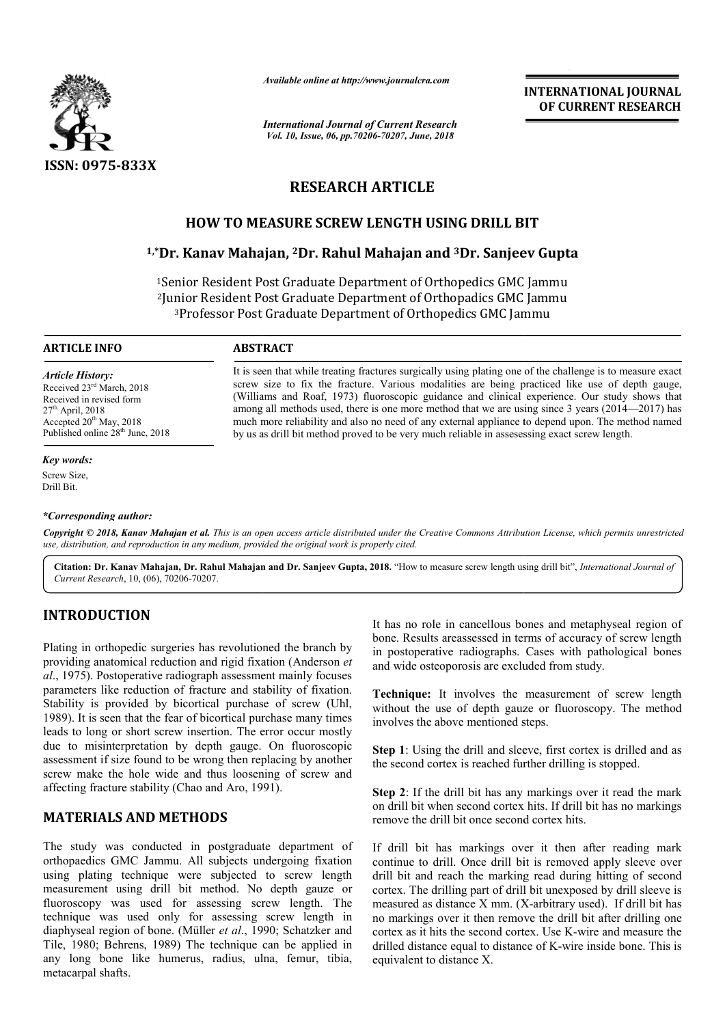

*Available online at http://www.journalcra.com*

*International Journal of Current Research Vol. 10, Issue, 06, pp.70206-70207, June, 2018*

**INTERNATIONAL JOURNAL OF CURRENT RESEARCH**

# **RESEARCH ARTICLE**

# **HOW TO MEASURE SCREW LENGTH USING DRILL BIT**

# **1,\*Dr. Kanav Mahajan, Dr. 2Dr. Rahul Mahajan and 3Dr. Sanjeev Gupta HOW Dr.**

1Senior Resident Post Graduate Department of Orthopedics GMC Jammu 2Junior Resident Post Graduate Department of Orthopadics GMC Jammu 3Professor Post Graduate Department of Orthopedics GMC Jammu Senior Resident Post Graduate Department of Orthopedics GMC<br>Junior Resident Post Graduate Department of Orthopadics GMC<br><sup>3</sup>Professor Post Graduate Department of Orthopedics GMC Jan

> It is seen that while treating fractures surgically using plating one of the challenge is to measure exact screw size to fix the fracture. Various modalities are being practiced like use of depth gauge, (Williams and Roaf, 1973) fluoroscopic guidance and clinical experience. Our study shows that among all methods used, there is one more method that we are using since 3 years (2014—2017) has much more reliability and also no need of any external appliance to depend upon. The method named

> It is seen that while treating fractures surgically using plating one of the challenge is to measure exact screw size to fix the fracture. Various modalities are being practiced like use of depth gauge, (Williams and Roaf,

much more reliability and also no need of any external appliance to depend upon. The method proved to be very much reliable in assessing exact screw length.

#### **ARTICLE INFO ABSTRACT**

*Article History:* Received 23rd March, 2018 Received in revised form  $27<sup>th</sup>$  April, 2018 Accepted  $20<sup>th</sup>$  May, 2018 Published online 28<sup>th</sup> June, 2018

#### *Key words:*

Screw Size, Drill Bit.

### *\*Corresponding author:*

Copyright © 2018, Kanav Mahajan et al. This is an open access article distributed under the Creative Commons Attribution License, which permits unrestrictea *use, distribution, and reproduction in any medium, provided the original work is properly cited.*

Citation: Dr. Kanav Mahajan, Dr. Rahul Mahajan and Dr. Sanjeev Gupta, 2018. "How to measure screw length using drill bit", *International Journal of Current Research*, 10, (06), 70206-70207.

# **INTRODUCTION**

Plating in orthopedic surgeries has revolutioned the branch by providing anatomical reduction and rigid fixation (Anderson *et al*., 1975). Postoperative radiograph assessment mainly focuses parameters like reduction of fracture and stability of fixation. Stability is provided by bicortical purchase of screw (Uhl, 1989). It is seen that the fear of bicortical purchase many times leads to long or short screw insertion. The error occur mostly due to misinterpretation by depth gauge. On fluoroscopic assessment if size found to be wrong then replacing by another screw make the hole wide and thus loosening of screw and affecting fracture stability (Chao and Aro, 1991). ability (Chao and Aro, 1991).<br> **Exity** and the standard in the standard metaphyseal region of carriery of screw length<br>
and wide osteoporosis are excluded from study.<br>
The metaphysical region and metaphysical reduction and

# **MATERIALS AND METHODS**

The study was conducted in postgraduate department of orthopaedics GMC Jammu. All subjects undergoing fixation using plating technique were subjected to screw length measurement using drill bit method. No depth gauze or fluoroscopy was used for assessing screw length. The technique was used only for assessing screw length in diaphyseal region of bone. (Müller *et al*., 1990; Schatzker and Tile, 1980; Behrens, 1989) The technique can be applied in any long bone like humerus, radius, ulna, femur, tibia, metacarpal shafts.

bone. Results areassessed in terms of accuracy of screw length in postoperative radiographs. Cases with pathological bones and wide osteoporosis are excluded from study. It has no role in cancellous bones and metaphyseal<br>bone. Results areassessed in terms of accuracy of scr<br>in postoperative radiographs. Cases with pathologi<br>and wide osteoporosis are excluded from study.

**Technique:** It involves the measurement of screw length without the use of depth gauze or fluoroscopy. The method involves the above mentioned steps. It involves the measurement of screv<br>use of depth gauze or fluoroscopy. The<br>above mentioned steps.<br>g the drill and sleeve, first cortex is drille<br>ortex is reached further drilling is stopped.

**Step 1**: Using the drill and sleeve, first cortex is drilled and as the second cortex is reached further drilling

**Step 2**: If the drill bit has any markings over it read the mark on drill bit when second cortex hits. If drill bit has no markings remove the drill bit once second cortex hits.

If drill bit has markings over it then after reading mark continue to drill. Once drill bit is removed apply sleeve over drill bit and reach the marking read during hitting of second cortex. The drilling part of drill bit unexposed by drill sleeve is measured as distance X mm. (X-arbitrary used). If drill bit has no markings over it then remove the drill bit after drilling one no markings over it then remove the drill bit after drilling one cortex as it hits the second cortex. Use K-wire and measure the drilled distance equal to distance of K K-wire inside bone. This is equivalent to distance X. **Step 2**: If the drill bit has any markings over it read the mark<br>on drill bit when second cortex hits. If drill bit has no markings<br>remove the drill bit once second cortex hits.<br>If drill bit has markings over it then aft